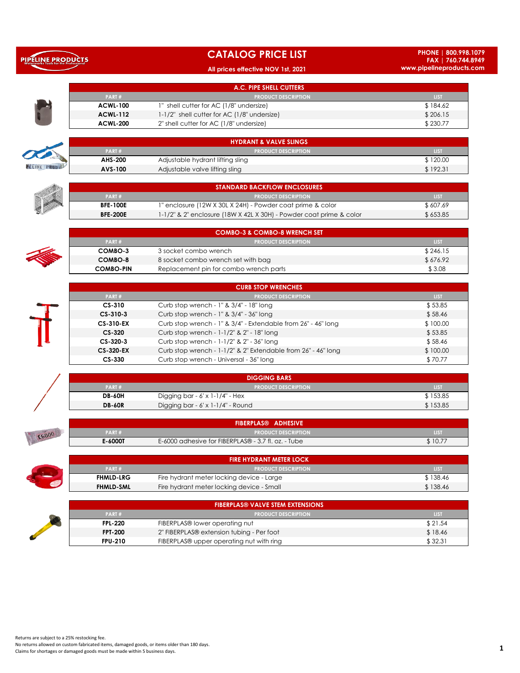|  | PIPELINE PRODUCTS                            |  |  |  |  |
|--|----------------------------------------------|--|--|--|--|
|  | <b>Waterworks Tools for the Professional</b> |  |  |  |  |

**CANTON CONTROL** 

## **CATALOG PRICE LIST**

### **All prices effective NOV 1st, 2021**

**PHONE | 800.998.1079 FAX | 760.744.8949 www.pipelineproducts.com**

|   |                 | A.C. PIPE SHELL CUTTERS                     |             |
|---|-----------------|---------------------------------------------|-------------|
|   | PART#           | <b>PRODUCT DESCRIPTION</b>                  | <b>LIST</b> |
|   | <b>ACWL-100</b> | 1" shell cutter for AC (1/8" undersize)     | \$184.62    |
|   | <b>ACWL-112</b> | 1-1/2" shell cutter for AC (1/8" undersize) | \$206.15    |
| D | <b>ACWL-200</b> | 2" shell cutter for AC (1/8" undersize)     | \$230.77    |

|                           |         | <b>HYDRANT &amp; VALVE SLINGS</b> |             |
|---------------------------|---------|-----------------------------------|-------------|
| <b>The Second Service</b> | PART#   | <b>I PRODUCT DESCRIPTION</b>      | <b>LIST</b> |
| PELINE PRODUCT            | AHS-200 | Adjustable hydrant lifting sling  | \$120.00    |
|                           | AVS-100 | Adjustable valve lifting sling    | \$192.3     |

|  | <b>STANDARD BACKFLOW ENCLOSURES.</b> |                                                                     |          |  |  |  |
|--|--------------------------------------|---------------------------------------------------------------------|----------|--|--|--|
|  | PART#                                | <b>I PRODUCT DESCRIPTION</b>                                        | LIST     |  |  |  |
|  | <b>BFE-100E</b>                      | l" enclosure (12W X 30L X 24H) - Powder coat prime & color          | \$607.69 |  |  |  |
|  | <b>BFE-200E</b>                      | 1-1/2" & 2" enclosure (18W X 42L X 30H) - Powder coat prime & color | \$653.85 |  |  |  |

|  |                  | <b>COMBO-3 &amp; COMBO-8 WRENCH SET</b> |             |
|--|------------------|-----------------------------------------|-------------|
|  | PART#            | <b>APRODUCT DESCRIPTION</b>             | <b>LIST</b> |
|  | COMBO-3          | 3 socket combo wrench                   | \$246.15    |
|  | COMBO-8          | 8 socket combo wrench set with bag      | \$676.92    |
|  | <b>COMBO-PIN</b> | Replacement pin for combo wrench parts  | \$3.08      |

| <b>CURB STOP WRENCHES</b> |                                                               |             |  |  |  |
|---------------------------|---------------------------------------------------------------|-------------|--|--|--|
| PART#                     | <b>PRODUCT DESCRIPTION</b>                                    | <b>LIST</b> |  |  |  |
| $CS-310$                  | Curb stop wrench - 1" & 3/4" - 18" long                       | \$53.85     |  |  |  |
| $CS-310-3$                | Curb stop wrench - 1" & 3/4" - 36" long                       | \$58.46     |  |  |  |
| <b>CS-310-EX</b>          | Curb stop wrench - 1" & 3/4" - Extendable from 26" - 46" long | \$100.00    |  |  |  |
| $CS-320$                  | Curb stop wrench - 1-1/2" & 2" - 18" long                     | \$53.85     |  |  |  |
| $CS - 320 - 3$            | Curb stop wrench - 1-1/2" & 2" - 36" long                     | \$58.46     |  |  |  |
| <b>CS-320-EX</b>          | Curb stop wrench - 1-1/2" & 2" Extendable from 26" - 46" long | \$100.00    |  |  |  |
| $CS-330$                  | Curb stop wrench - Universal - 36" long                       | \$70.77     |  |  |  |

|               | <b>DIGGING BARS</b>               |             |  |  |  |
|---------------|-----------------------------------|-------------|--|--|--|
| PART#         | <b>A PRODUCT DESCRIPTION</b>      | <b>LIST</b> |  |  |  |
| <b>DB-60H</b> | Digging bar - 6' x 1-1/4" - Hex   | \$153.85    |  |  |  |
| <b>DB-60R</b> | Digging bar - 6' x 1-1/4" - Round | \$153.85    |  |  |  |

|              |                | <b>FIBERPLAS® ADHESIVE</b>                          |                  |
|--------------|----------------|-----------------------------------------------------|------------------|
| <b>E6000</b> | PART#          | <b>PRODUCT DESCRIPTION</b>                          | LIS <sub>1</sub> |
|              | <b>E-6000T</b> | E-6000 adhesive for FIBERPLAS® - 3.7 fl. oz. - Tube | $1 \cup .7$      |

|                  | <b>FIRE HYDRANT METER LOCK</b>            |             |
|------------------|-------------------------------------------|-------------|
| PART#            | <b>PRODUCT DESCRIPTION</b>                | <b>LIST</b> |
| <b>FHMLD-LRG</b> | Fire hydrant meter locking device - Large | \$138.46    |
| <b>FHMLD-SML</b> | Fire hydrant meter locking device - Small | \$138.46    |
|                  |                                           |             |

|  |                | <b>FIBERPLAS® VALVE STEM EXTENSIONS</b>   |             |
|--|----------------|-------------------------------------------|-------------|
|  | PART#          | <b>PRODUCT DESCRIPTION</b>                | <b>LIST</b> |
|  | <b>FPL-220</b> | FIBERPLAS® lower operating nut            | \$21.54     |
|  | <b>FPT-200</b> | 2" FIBERPLAS® extension tubing - Per foot | \$18.46     |
|  | <b>FPU-210</b> | FIBERPLAS® upper operating nut with ring  | \$32.31     |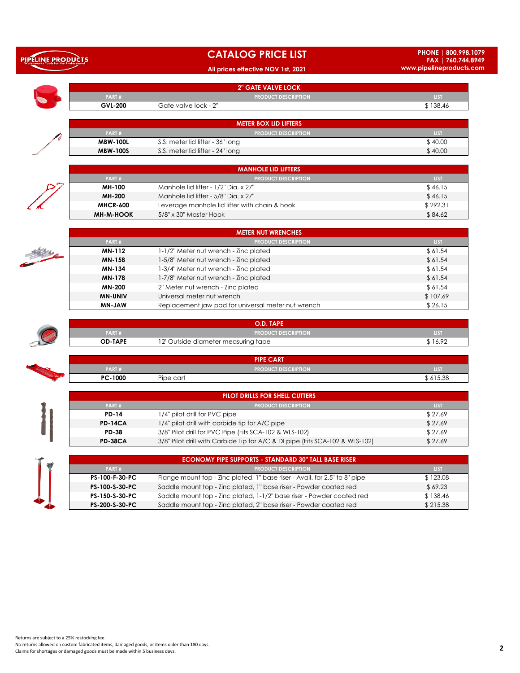| <b>PIPELINE PRODUCTS</b><br>Waterworks Tools for the Professional |
|-------------------------------------------------------------------|
|                                                                   |
|                                                                   |

## **CATALOG PRICE LIST**

### **All prices effective NOV 1st, 2021**

|                  | 2" GATE VALVE LOCK                                                           |             |
|------------------|------------------------------------------------------------------------------|-------------|
| PART#            | <b>PRODUCT DESCRIPTION</b>                                                   | <b>LIST</b> |
| <b>GVL-200</b>   | Gate valve lock - 2"                                                         | \$138.46    |
|                  |                                                                              |             |
|                  | <b>METER BOX LID LIFTERS</b>                                                 |             |
| PART#            | <b>PRODUCT DESCRIPTION</b>                                                   | <b>LIST</b> |
| <b>MBW-100L</b>  | S.S. meter lid lifter - 36" long                                             | \$40.00     |
| <b>MBW-100S</b>  | S.S. meter lid lifter - 24" long                                             | \$40.00     |
|                  |                                                                              |             |
|                  | <b>MANHOLE LID LIFTERS</b><br><b>PRODUCT DESCRIPTION</b>                     | <b>LIST</b> |
| PART#<br>MH-100  | Manhole lid lifter - 1/2" Dia. x 27"                                         | \$46.15     |
|                  |                                                                              |             |
| MH-200           | Manhole lid lifter - 5/8" Dia. x 27"                                         | \$46.15     |
| <b>MHCR-600</b>  | Leverage manhole lid lifter with chain & hook                                | \$292.31    |
| <b>MH-M-HOOK</b> | 5/8" x 30" Master Hook                                                       | \$84.62     |
|                  | <b>METER NUT WRENCHES</b>                                                    |             |
| PART#            | <b>PRODUCT DESCRIPTION</b>                                                   | LIST        |
| <b>MN-112</b>    | 1-1/2" Meter nut wrench - Zinc plated                                        | \$61.54     |
| MN-158           | 1-5/8" Meter nut wrench - Zinc plated                                        | \$61.54     |
| MN-134           | 1-3/4" Meter nut wrench - Zinc plated                                        | \$61.54     |
| <b>MN-178</b>    | 1-7/8" Meter nut wrench - Zinc plated                                        | \$61.54     |
|                  |                                                                              |             |
| <b>MN-200</b>    | 2" Meter nut wrench - Zinc plated                                            | \$61.54     |
| <b>MN-UNIV</b>   | Universal meter nut wrench                                                   | \$107.69    |
| MN-JAW           | Replacement jaw pad for universal meter nut wrench                           | \$26.15     |
|                  | O.D. TAPE                                                                    |             |
| PART#            | <b>PRODUCT DESCRIPTION</b>                                                   | <b>LIST</b> |
| <b>OD-TAPE</b>   | 12' Outside diameter measuring tape                                          | \$16.92     |
|                  | <b>PIPE CART</b>                                                             |             |
| PART#            | <b>PRODUCT DESCRIPTION</b>                                                   | <b>LIST</b> |
| PC-1000          | Pipe cart                                                                    | \$615.38    |
|                  |                                                                              |             |
|                  | PILOT DRILLS FOR SHELL CUTTERS                                               |             |
| PART#            | <b>PRODUCT DESCRIPTION</b>                                                   | <b>LIST</b> |
| <b>PD-14</b>     | 1/4" pilot drill for PVC pipe                                                | \$27.69     |
| <b>PD-14CA</b>   | 1/4" pilot drill with carbide tip for A/C pipe                               | \$27.69     |
| <b>PD-38</b>     | 3/8" Pilot drill for PVC Pipe (Fits SCA-102 & WLS-102)                       | \$27.69     |
| <b>PD-38CA</b>   | 3/8" Pilot drill with Carbide Tip for A/C & DI pipe (Fits SCA-102 & WLS-102) | \$27.69     |
|                  |                                                                              |             |
|                  | <b>ECONOMY PIPE SUPPORTS - STANDARD 30" TALL BASE RISER</b>                  |             |
| PART#            | <b>PRODUCT DESCRIPTION</b>                                                   | <b>LIST</b> |
| PS-100-F-30-PC   | Flange mount top - Zinc plated, 1" base riser - Avail. for 2.5" to 8" pipe   | \$123.08    |
| PS-100-S-30-PC   | Saddle mount top - Zinc plated, 1" base riser - Powder coated red            | \$69.23     |
| PS-150-S-30-PC   | Saddle mount top - Zinc plated, 1-1/2" base riser - Powder coated red        | \$138.46    |
| PS-200-S-30-PC   | Saddle mount top - Zinc plated, 2" base riser - Powder coated red            | \$215.38    |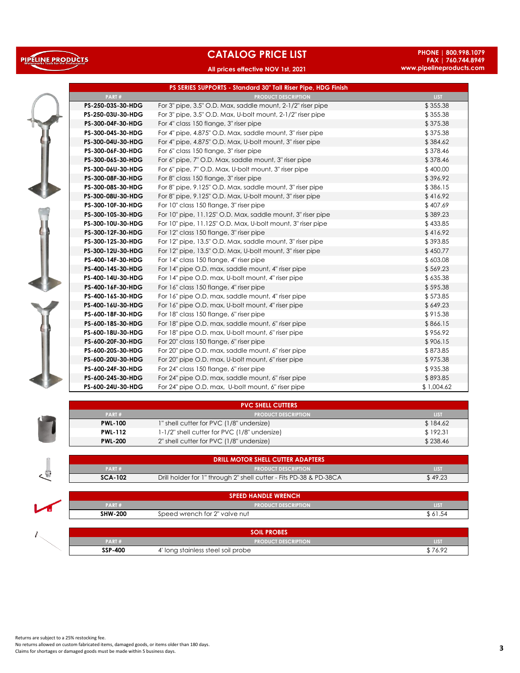# PIPELINE PRODUCTS

# **CATALOG PRICE LIST**

### **All prices effective NOV 1st, 2021**

**PHONE | 800.998.1079 FAX | 760.744.8949 www.pipelineproducts.com**



|                   | PS SERIES SUPPORTS - Standard 30" Tall Riser Pipe, HDG Finish |             |
|-------------------|---------------------------------------------------------------|-------------|
| PART#             | <b>PRODUCT DESCRIPTION</b>                                    | <b>LIST</b> |
| PS-250-03S-30-HDG | For 3" pipe, 3.5" O.D. Max, saddle mount, 2-1/2" riser pipe   | \$355.38    |
| PS-250-03U-30-HDG | For 3" pipe, 3.5" O.D. Max, U-bolt mount, 2-1/2" riser pipe   | \$355.38    |
| PS-300-04F-30-HDG | For 4" class 150 flange, 3" riser pipe                        | \$375.38    |
| PS-300-04S-30-HDG | For 4" pipe, 4.875" O.D. Max, saddle mount, 3" riser pipe     | \$375.38    |
| PS-300-04U-30-HDG | For 4" pipe, 4.875" O.D. Max, U-bolt mount, 3" riser pipe     | \$384.62    |
| PS-300-06F-30-HDG | For 6" class 150 flange, 3" riser pipe                        | \$378.46    |
| PS-300-06S-30-HDG | For 6" pipe, 7" O.D. Max, saddle mount, 3" riser pipe         | \$378.46    |
| PS-300-06U-30-HDG | For 6" pipe, 7" O.D. Max, U-bolt mount, 3" riser pipe         | \$400.00    |
| PS-300-08F-30-HDG | For 8" class 150 flange, 3" riser pipe                        | \$396.92    |
| PS-300-08S-30-HDG | For 8" pipe, 9.125" O.D. Max, saddle mount, 3" riser pipe     | \$386.15    |
| PS-300-08U-30-HDG | For 8" pipe, 9.125" O.D. Max, U-bolt mount, 3" riser pipe     | \$416.92    |
| PS-300-10F-30-HDG | For 10" class 150 flange, 3" riser pipe                       | \$407.69    |
| PS-300-10S-30-HDG | For 10" pipe, 11.125" O.D. Max, saddle mount, 3" riser pipe   | \$389.23    |
| PS-300-10U-30-HDG | For 10" pipe, 11.125" O.D. Max, U-bolt mount, 3" riser pipe   | \$433.85    |
| PS-300-12F-30-HDG | For 12" class 150 flange, 3" riser pipe                       | \$416.92    |
| PS-300-12S-30-HDG | For 12" pipe, 13.5" O.D. Max, saddle mount, 3" riser pipe     | \$393.85    |
| PS-300-12U-30-HDG | For 12" pipe, 13.5" O.D. Max, U-bolt mount, 3" riser pipe     | \$450.77    |
| PS-400-14F-30-HDG | For 14" class 150 flange, 4" riser pipe                       | \$603.08    |
| PS-400-14S-30-HDG | For 14" pipe O.D. max, saddle mount, 4" riser pipe            | \$569.23    |
| PS-400-14U-30-HDG | For 14" pipe O.D. max, U-bolt mount, 4" riser pipe            | \$635.38    |
| PS-400-16F-30-HDG | For 16" class 150 flange, 4" riser pipe                       | \$595.38    |
| PS-400-16S-30-HDG | For 16" pipe O.D. max, saddle mount, 4" riser pipe            | \$573.85    |
| PS-400-16U-30-HDG | For 16" pipe O.D. max, U-bolt mount, 4" riser pipe            | \$649.23    |
| PS-600-18F-30-HDG | For 18" class 150 flange, 6" riser pipe                       | \$915.38    |
| PS-600-18S-30-HDG | For 18" pipe O.D. max, saddle mount, 6" riser pipe            | \$866.15    |
| PS-600-18U-30-HDG | For 18" pipe O.D. max, U-bolt mount, 6" riser pipe            | \$956.92    |
| PS-600-20F-30-HDG | For 20" class 150 flange, 6" riser pipe                       | \$906.15    |
| PS-600-20S-30-HDG | For 20" pipe O.D. max, saddle mount, 6" riser pipe            | \$873.85    |
| PS-600-20U-30-HDG | For 20" pipe O.D. max, U-bolt mount, 6" riser pipe            | \$975.38    |
| PS-600-24F-30-HDG | For 24" class 150 flange, 6" riser pipe                       | \$935.38    |
| PS-600-24S-30-HDG | For 24" pipe O.D. max, saddle mount, 6" riser pipe            | \$893.85    |
| PS-600-24U-30-HDG | For 24" pipe O.D. max, U-bolt mount, 6" riser pipe            | \$1,004.62  |

|                | <b>PVC SHELL CUTTERS</b>                     |             |
|----------------|----------------------------------------------|-------------|
| PART#          | <b>PRODUCT DESCRIPTION</b>                   | <b>LIST</b> |
| <b>PWL-100</b> | 1" shell cutter for PVC (1/8" undersize)     | \$184.62    |
| <b>PWL-112</b> | 1-1/2" shell cutter for PVC (1/8" undersize) | \$192.31    |
| <b>PWL-200</b> | 2" shell cutter for PVC (1/8" undersize)     | \$238.46    |

|                | <b>DRILL MOTOR SHELL CUTTER ADAPTERS</b>                           |             |
|----------------|--------------------------------------------------------------------|-------------|
| PART#          | <b>PRODUCT DESCRIPTION</b>                                         | <b>LIST</b> |
| <b>SCA-102</b> | Drill holder for 1" through 2" shell cutter - Fits PD-38 & PD-38CA | \$49.23     |
|                |                                                                    |             |
|                | <b>SPEED HANDLE WRENCH</b>                                         |             |
| PART#          | <b>PRODUCT DESCRIPTION</b>                                         | LIST        |
| <b>SHW-200</b> | Speed wrench for 2" valve nut                                      | \$ 61.54    |

|                | <b>PROBES</b><br>וורא:            |             |
|----------------|-----------------------------------|-------------|
| <b>PART#</b>   | <b>PRODUCT DESCRIPTION</b>        | <b>TIST</b> |
| <b>SSP-400</b> | " long stainless steel soil probe | 7100        |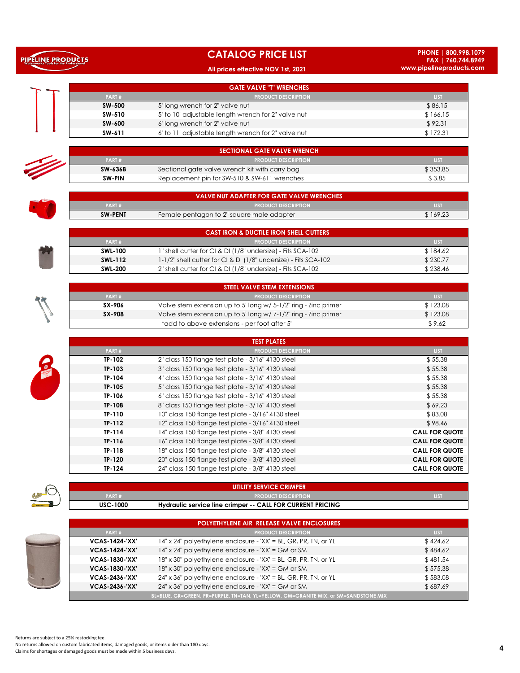| <b>CATALOG PRICE LIST</b> |  |  |
|---------------------------|--|--|
|                           |  |  |

**All prices effective NOV 1st, 2021**

**PHONE | 800.998.1079 FAX | 760.744.8949 www.pipelineproducts.com**

|         | <b>GATE VALVE "T" WRENCHES</b>                      |             |
|---------|-----------------------------------------------------|-------------|
| PART#   | <b>PRODUCT DESCRIPTION</b>                          | LIST.       |
| SW-500  | 5' long wrench for 2" valve nut                     | \$86.15     |
| SW-510  | 5' to 10' adjustable length wrench for 2" valve nut | \$166.15    |
| SW-600  | 6' long wrench for 2" valve nut                     | \$92.31     |
| SW-611  | 6' to 11' adjustable length wrench for 2" valve nut | \$172.31    |
|         |                                                     |             |
|         | <b>SECTIONAL GATE VALVE WRENCH</b>                  |             |
| PART#   | <b>PRODUCT DESCRIPTION</b>                          | <b>LIST</b> |
| SW-636B | Sectional gate valve wrench kit with carry bag      | \$353.85    |
| SW-PIN  | Replacement pin for SW-510 & SW-611 wrenches        | \$3.85      |
|         |                                                     |             |
|         | <b>VALVE NUT ADAPTER FOR GATE VALVE WRENCHES</b>    |             |
| PART#   | <b>PRODUCT DESCRIPTION</b>                          | <b>LIST</b> |
|         |                                                     |             |

| PART#          | <b>PRODUCT DESCRIPTION</b>                     | LIST     |
|----------------|------------------------------------------------|----------|
| <b>SW-636B</b> | Sectional gate valve wrench kit with carry bag | \$353.85 |
| SW-PIN         | Replacement pin for SW-510 & SW-611 wrenches   | \$3.85   |

|                | VALVE NUT ADAPTER FOR GATE VALVE WRENCHES |             |
|----------------|-------------------------------------------|-------------|
| PART#          | <b>PRODUCT DESCRIPTION</b>                | <b>LIST</b> |
| <b>SW-PENT</b> | Female pentagon to 2" square male adapter | \$169.23    |

|                | CAST IRON & DUCTILE IRON SHELL CUTTERS                          |          |
|----------------|-----------------------------------------------------------------|----------|
| PART#          | <b>PRODUCT DESCRIPTION</b>                                      | LIST.    |
| <b>SWL-100</b> | 1" shell cutter for CI & DI (1/8" undersize) - Fits SCA-102     | \$184.62 |
| SWL-112        | 1-1/2" shell cutter for CI & DI (1/8" undersize) - Fits SCA-102 | \$230.77 |
| <b>SWL-200</b> | 2" shell cutter for CI & DI (1/8" undersize) - Fits SCA-102     | \$238.46 |

|        | STEEL VALVE STEM EXTENSIONS                                     |             |
|--------|-----------------------------------------------------------------|-------------|
| PART#  | <b>PRODUCT DESCRIPTION</b>                                      | <b>LIST</b> |
| SX-906 | Valve stem extension up to 5' long w/ 5-1/2" ring - Zinc primer | \$123.08    |
| SX-908 | Valve stem extension up to 5' long w/ 7-1/2" ring - Zinc primer | \$123.08    |
|        | *add to above extensions - per foot after 5'                    | \$9.62      |

|          | <b>TEST PLATES</b>                                 |                       |
|----------|----------------------------------------------------|-----------------------|
| PART#    | <b>PRODUCT DESCRIPTION</b>                         | <b>LIST</b>           |
| TP-102   | 2" class 150 flange test plate - 3/16" 4130 steel  | \$55.38               |
| TP-103   | 3" class 150 flange test plate - 3/16" 4130 steel  | \$55.38               |
| TP-104   | 4" class 150 flange test plate - 3/16" 4130 steel  | \$55.38               |
| TP-105   | 5" class 150 flange test plate - 3/16" 4130 steel  | \$55.38               |
| TP-106   | 6" class 150 flange test plate - 3/16" 4130 steel  | \$55.38               |
| TP-108   | 8" class 150 flange test plate - 3/16" 4130 steel  | \$69.23               |
| TP-110   | 10" class 150 flange test plate - 3/16" 4130 steel | \$83.08               |
| $TP-112$ | 12" class 150 flange test plate - 3/16" 4130 steel | \$98.46               |
| TP-114   | 14" class 150 flange test plate - 3/8" 4130 steel  | <b>CALL FOR QUOTE</b> |
| TP-116   | 16" class 150 flange test plate - 3/8" 4130 steel  | <b>CALL FOR QUOTE</b> |
| TP-118   | 18" class 150 flange test plate - 3/8" 4130 steel  | <b>CALL FOR QUOTE</b> |
| TP-120   | 20" class 150 flange test plate - 3/8" 4130 steel  | <b>CALL FOR QUOTE</b> |
| TP-124   | 24" class 150 flange test plate - 3/8" 4130 steel  | <b>CALL FOR QUOTE</b> |



 $\overline{\mathcal{E}}$ 

College

PIPELINE PRODUCTS

### **PART # PRODUCT DESCRIPTION LIST USC-1000 UTILITY SERVICE CRIMPER**

**Hydraulic service line crimper -- CALL FOR CURRENT PRICING**

|                       | <b>POLYETHYLENE AIR RELEASE VALVE ENCLOSURES</b>                                     |             |
|-----------------------|--------------------------------------------------------------------------------------|-------------|
| PART#                 | <b>PRODUCT DESCRIPTION</b>                                                           | <b>LIST</b> |
| <b>VCAS-1424-'XX'</b> | $14"$ x 24" polyethylene enclosure - 'XX' = BL, GR, PR, TN, or YL                    | \$424.62    |
| <b>VCAS-1424-'XX'</b> | 14" x 24" polyethylene enclosure - 'XX' = GM or SM                                   | \$484.62    |
| <b>VCAS-1830-'XX'</b> | 18" x 30" polyethylene enclosure - 'XX' = BL, GR, PR, TN, or YL                      | \$481.54    |
| <b>VCAS-1830-'XX'</b> | 18" x 30" polyethylene enclosure - 'XX' = GM or SM                                   | \$575.38    |
| <b>VCAS-2436-'XX'</b> | $24"$ x 36" polyethylene enclosure - 'XX' = BL, GR, PR, TN, or YL                    | \$583.08    |
| <b>VCAS-2436-'XX'</b> | $24" \times 36"$ polyethylene enclosure - 'XX' = GM or SM                            | \$687.69    |
|                       | BL=BLUE, GR=GREEN, PR=PURPLE, TN=TAN, YL=YELLOW, GM=GRANITE MIX, or SM=SANDSTONE MIX |             |

Returns are subject to a 25% restocking fee.

No returns allowed on custom fabricated items, damaged goods, or items older than 180 days.<br>Claims for shortages or damaged goods must be made within 5 business days.